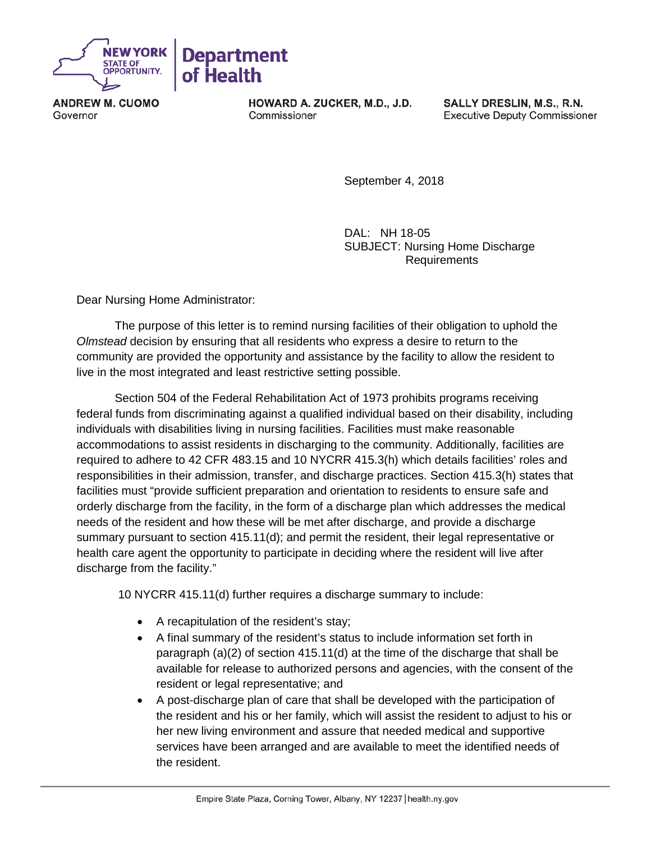

**ANDREW M. CUOMO** Governor

**HOWARD A. ZUCKER, M.D., J.D.** Commissioner

SALLY DRESLIN, M.S., R.N. **Executive Deputy Commissioner** 

September 4, 2018

DAL: NH 18-05 SUBJECT: Nursing Home Discharge Requirements

Dear Nursing Home Administrator:

The purpose of this letter is to remind nursing facilities of their obligation to uphold the *Olmstead* decision by ensuring that all residents who express a desire to return to the community are provided the opportunity and assistance by the facility to allow the resident to live in the most integrated and least restrictive setting possible.

Section 504 of the Federal Rehabilitation Act of 1973 prohibits programs receiving federal funds from discriminating against a qualified individual based on their disability, including individuals with disabilities living in nursing facilities. Facilities must make reasonable accommodations to assist residents in discharging to the community. Additionally, facilities are required to adhere to 42 CFR 483.15 and 10 NYCRR 415.3(h) which details facilities' roles and responsibilities in their admission, transfer, and discharge practices. Section 415.3(h) states that facilities must "provide sufficient preparation and orientation to residents to ensure safe and orderly discharge from the facility, in the form of a discharge plan which addresses the medical needs of the resident and how these will be met after discharge, and provide a discharge summary pursuant to section 415.11(d); and permit the resident, their legal representative or health care agent the opportunity to participate in deciding where the resident will live after discharge from the facility."

10 NYCRR 415.11(d) further requires a discharge summary to include:

- A recapitulation of the resident's stay;
- A final summary of the resident's status to include information set forth in paragraph  $(a)(2)$  of section 415.11(d) at the time of the discharge that shall be available for release to authorized persons and agencies, with the consent of the resident or legal representative; and
- A post-discharge plan of care that shall be developed with the participation of the resident and his or her family, which will assist the resident to adjust to his or her new living environment and assure that needed medical and supportive services have been arranged and are available to meet the identified needs of the resident.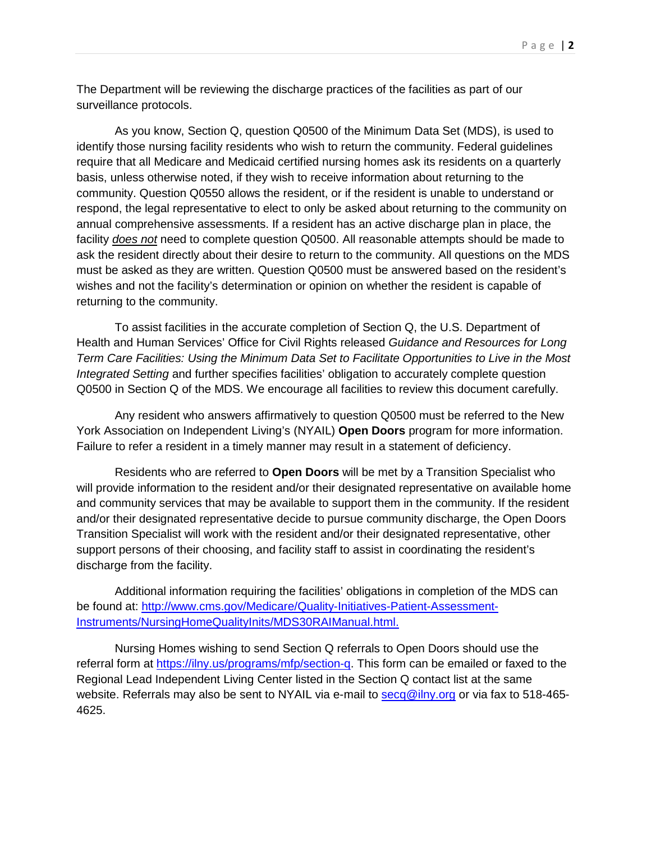The Department will be reviewing the discharge practices of the facilities as part of our surveillance protocols.

As you know, Section Q, question Q0500 of the Minimum Data Set (MDS), is used to identify those nursing facility residents who wish to return the community. Federal guidelines require that all Medicare and Medicaid certified nursing homes ask its residents on a quarterly basis, unless otherwise noted, if they wish to receive information about returning to the community. Question Q0550 allows the resident, or if the resident is unable to understand or respond, the legal representative to elect to only be asked about returning to the community on annual comprehensive assessments. If a resident has an active discharge plan in place, the facility *does not* need to complete question Q0500. All reasonable attempts should be made to ask the resident directly about their desire to return to the community. All questions on the MDS must be asked as they are written. Question Q0500 must be answered based on the resident's wishes and not the facility's determination or opinion on whether the resident is capable of returning to the community.

To assist facilities in the accurate completion of Section Q, the U.S. Department of Health and Human Services' Office for Civil Rights released *Guidance and Resources for Long Term Care Facilities: Using the Minimum Data Set to Facilitate Opportunities to Live in the Most Integrated Setting* and further specifies facilities' obligation to accurately complete question Q0500 in Section Q of the MDS. We encourage all facilities to review this document carefully.

Any resident who answers affirmatively to question Q0500 must be referred to the New York Association on Independent Living's (NYAIL) **Open Doors** program for more information. Failure to refer a resident in a timely manner may result in a statement of deficiency.

Residents who are referred to **Open Doors** will be met by a Transition Specialist who will provide information to the resident and/or their designated representative on available home and community services that may be available to support them in the community. If the resident and/or their designated representative decide to pursue community discharge, the Open Doors Transition Specialist will work with the resident and/or their designated representative, other support persons of their choosing, and facility staff to assist in coordinating the resident's discharge from the facility.

Additional information requiring the facilities' obligations in completion of the MDS can be found at: [http://www.cms.gov/Medicare/Quality-Initiatives-Patient-Assessment-](http://www.cms.gov/Medicare/Quality-Initiatives-Patient-Assessment-Instruments/NursingHomeQualityInits/MDS30RAIManual.html)[Instruments/NursingHomeQualityInits/MDS30RAIManual.html.](http://www.cms.gov/Medicare/Quality-Initiatives-Patient-Assessment-Instruments/NursingHomeQualityInits/MDS30RAIManual.html)

Nursing Homes wishing to send Section Q referrals to Open Doors should use the referral form at [https://ilny.us/programs/mfp/section-q.](https://ilny.us/programs/mfp/section-q) This form can be emailed or faxed to the Regional Lead Independent Living Center listed in the Section Q contact list at the same website. Referrals may also be sent to NYAIL via e-mail to [secq@ilny.org](mailto:secq@ilny.org) or via fax to 518-465-4625.